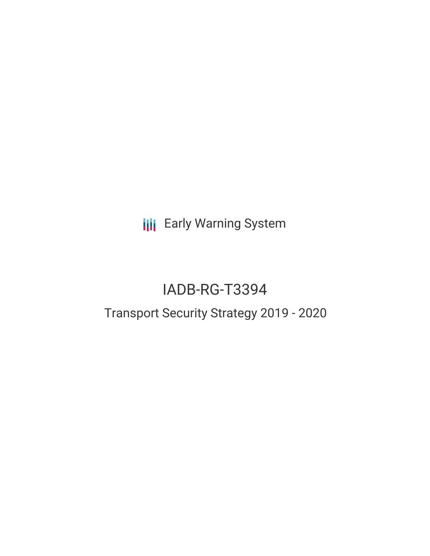**III** Early Warning System

# IADB-RG-T3394

## Transport Security Strategy 2019 - 2020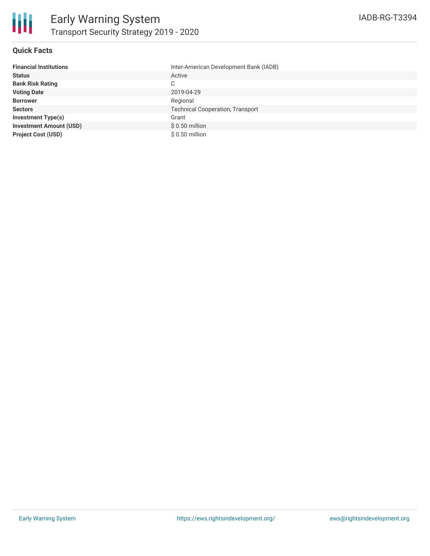

#### **Quick Facts**

| <b>Financial Institutions</b>  | Inter-American Development Bank (IADB)  |
|--------------------------------|-----------------------------------------|
| <b>Status</b>                  | Active                                  |
| <b>Bank Risk Rating</b>        | C                                       |
| <b>Voting Date</b>             | 2019-04-29                              |
| <b>Borrower</b>                | Regional                                |
| <b>Sectors</b>                 | <b>Technical Cooperation, Transport</b> |
| <b>Investment Type(s)</b>      | Grant                                   |
| <b>Investment Amount (USD)</b> | $$0.50$ million                         |
| <b>Project Cost (USD)</b>      | $$0.50$ million                         |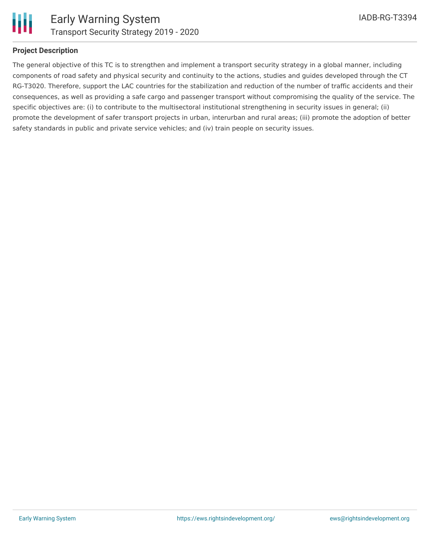

#### **Project Description**

The general objective of this TC is to strengthen and implement a transport security strategy in a global manner, including components of road safety and physical security and continuity to the actions, studies and guides developed through the CT RG-T3020. Therefore, support the LAC countries for the stabilization and reduction of the number of traffic accidents and their consequences, as well as providing a safe cargo and passenger transport without compromising the quality of the service. The specific objectives are: (i) to contribute to the multisectoral institutional strengthening in security issues in general; (ii) promote the development of safer transport projects in urban, interurban and rural areas; (iii) promote the adoption of better safety standards in public and private service vehicles; and (iv) train people on security issues.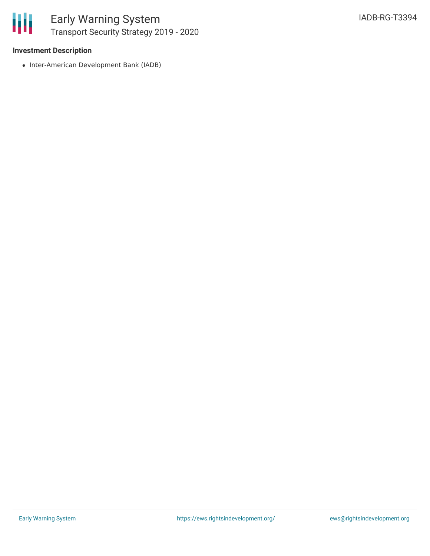

冊

#### **Investment Description**

• Inter-American Development Bank (IADB)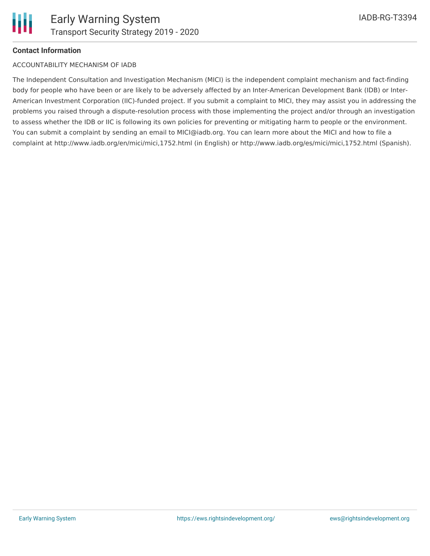

#### **Contact Information**

#### ACCOUNTABILITY MECHANISM OF IADB

The Independent Consultation and Investigation Mechanism (MICI) is the independent complaint mechanism and fact-finding body for people who have been or are likely to be adversely affected by an Inter-American Development Bank (IDB) or Inter-American Investment Corporation (IIC)-funded project. If you submit a complaint to MICI, they may assist you in addressing the problems you raised through a dispute-resolution process with those implementing the project and/or through an investigation to assess whether the IDB or IIC is following its own policies for preventing or mitigating harm to people or the environment. You can submit a complaint by sending an email to MICI@iadb.org. You can learn more about the MICI and how to file a complaint at http://www.iadb.org/en/mici/mici,1752.html (in English) or http://www.iadb.org/es/mici/mici,1752.html (Spanish).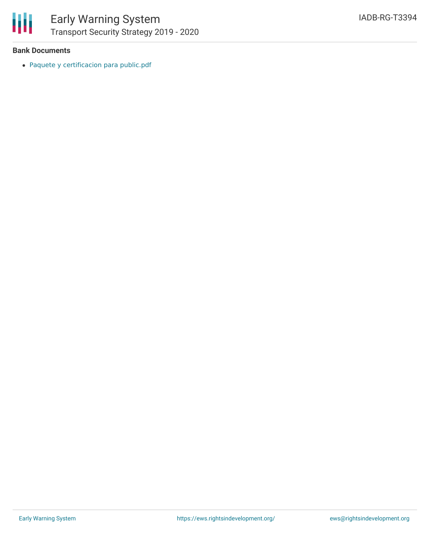

#### **Bank Documents**

Paquete y [certificacion](https://www.iadb.org/Document.cfm?id=EZSHARE-681590136-13) para public.pdf